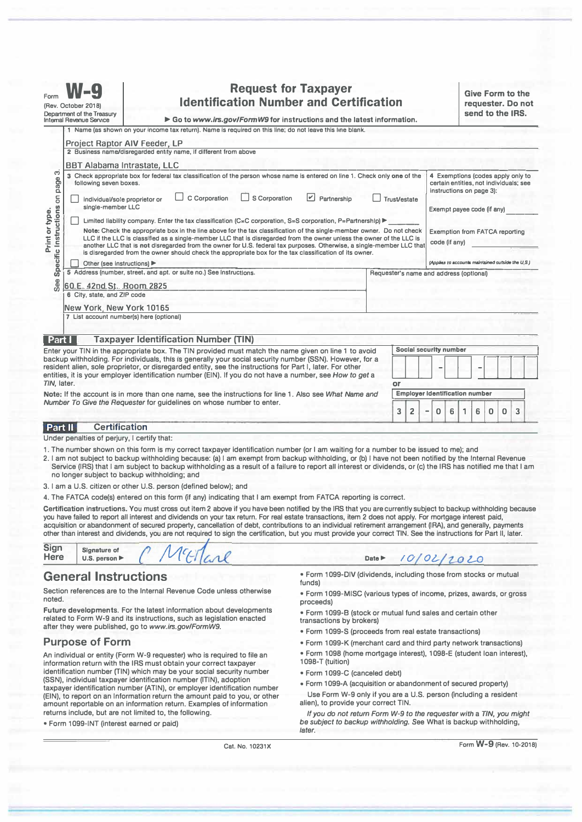| Form<br>(Rev. October 2018)<br>Department of the Treasury<br><b>Internal Revenue Service</b> |                                                          | <b>Request for Taxpayer</b><br><b>Identification Number and Certification</b><br>Go to www.irs.gov/FormW9 for instructions and the latest information.                                                                                                                                                                                                                                                                                                                                                                                                                                                                                                                                                                                                                                                                                                                                                                                                                                                                                                                 |                                         |                                       | <b>Give Form to the</b><br>requester. Do not<br>send to the IRS. |                                                                                                                                                                                                                                                      |   |   |   |   |   |
|----------------------------------------------------------------------------------------------|----------------------------------------------------------|------------------------------------------------------------------------------------------------------------------------------------------------------------------------------------------------------------------------------------------------------------------------------------------------------------------------------------------------------------------------------------------------------------------------------------------------------------------------------------------------------------------------------------------------------------------------------------------------------------------------------------------------------------------------------------------------------------------------------------------------------------------------------------------------------------------------------------------------------------------------------------------------------------------------------------------------------------------------------------------------------------------------------------------------------------------------|-----------------------------------------|---------------------------------------|------------------------------------------------------------------|------------------------------------------------------------------------------------------------------------------------------------------------------------------------------------------------------------------------------------------------------|---|---|---|---|---|
|                                                                                              |                                                          | 1 Name (as shown on your income tax return). Name is required on this line; do not leave this line blank.                                                                                                                                                                                                                                                                                                                                                                                                                                                                                                                                                                                                                                                                                                                                                                                                                                                                                                                                                              |                                         |                                       |                                                                  |                                                                                                                                                                                                                                                      |   |   |   |   |   |
| က<br>Specific Instructions on page<br>Print or type                                          | following seven boxes.                                   | <b>Project Raptor AIV Feeder, LP</b><br>2 Business name/disregarded entity name, if different from above<br><b>BBT Alabama Intrastate, LLC</b><br>3 Check appropriate box for federal tax classification of the person whose name is entered on line 1. Check only one of the<br>$\boxed{\checkmark}$<br>C Corporation<br>S Corporation<br>Partnership<br><b>Trust/estate</b><br>individual/sole proprietor or<br>single-member LLC<br>Limited liability company. Enter the tax classification (C=C corporation, S=S corporation, P=Partnershlp) ▶<br>Note: Check the appropriate box in the line above for the tax classification of the single-member owner. Do not check<br>LLC if the LLC is classified as a single-member LLC that is disregarded from the owner unless the owner of the LLC is<br>another LLC that is not disregarded from the owner for U.S. federal tax purposes. Otherwise, a single-member LLC that<br>is disregarded from the owner should check the appropriate box for the tax classification of its owner.<br>Other (see instructions) ▶ |                                         |                                       |                                                                  | 4 Exemptions (codes apply only to<br>certain entities, not individuals; see<br>instructions on page 3):<br>Exempt payee code (if any)<br><b>Exemption from FATCA reporting</b><br>code (if any)<br>(Applies to accounts maintained outside the U.S.) |   |   |   |   |   |
| See                                                                                          | 60.E. 42nd St., Room 2825<br>6 City, state, and ZIP code | 5 Address (number, street, and apt. or suite no.) See instructions.                                                                                                                                                                                                                                                                                                                                                                                                                                                                                                                                                                                                                                                                                                                                                                                                                                                                                                                                                                                                    | Requester's name and address (optional) |                                       |                                                                  |                                                                                                                                                                                                                                                      |   |   |   |   |   |
| Part I                                                                                       | New York, New York 10165                                 | 7 List account number(s) here (optional)<br><b>Taxpayer Identification Number (TIN)</b>                                                                                                                                                                                                                                                                                                                                                                                                                                                                                                                                                                                                                                                                                                                                                                                                                                                                                                                                                                                |                                         |                                       |                                                                  |                                                                                                                                                                                                                                                      |   |   |   |   |   |
|                                                                                              |                                                          | Enter your TIN in the appropriate box. The TIN provided must match the name given on line 1 to avoid                                                                                                                                                                                                                                                                                                                                                                                                                                                                                                                                                                                                                                                                                                                                                                                                                                                                                                                                                                   |                                         | Social security number                |                                                                  |                                                                                                                                                                                                                                                      |   |   |   |   |   |
| TIN, later.                                                                                  |                                                          | backup withholding. For individuals, this is generally your social security number (SSN). However, for a<br>resident alien, sole proprietor, or disregarded entity, see the instructions for Part I, later. For other<br>entities, it is your employer identification number (EIN). If you do not have a number, see How to get a                                                                                                                                                                                                                                                                                                                                                                                                                                                                                                                                                                                                                                                                                                                                      | or                                      |                                       |                                                                  |                                                                                                                                                                                                                                                      |   |   |   |   |   |
|                                                                                              |                                                          | Note: If the account is in more than one name, see the instructions for line 1. Also see What Name and                                                                                                                                                                                                                                                                                                                                                                                                                                                                                                                                                                                                                                                                                                                                                                                                                                                                                                                                                                 |                                         | <b>Employer identification number</b> |                                                                  |                                                                                                                                                                                                                                                      |   |   |   |   |   |
|                                                                                              |                                                          | Number To Give the Requester for quidelines on whose number to enter.                                                                                                                                                                                                                                                                                                                                                                                                                                                                                                                                                                                                                                                                                                                                                                                                                                                                                                                                                                                                  | 3                                       | $\overline{2}$                        | $\Omega$<br>$\qquad \qquad \blacksquare$                         | 6                                                                                                                                                                                                                                                    | 1 | 6 | 0 | 0 | 3 |
| Part II                                                                                      | <b>Certification</b>                                     |                                                                                                                                                                                                                                                                                                                                                                                                                                                                                                                                                                                                                                                                                                                                                                                                                                                                                                                                                                                                                                                                        |                                         |                                       |                                                                  |                                                                                                                                                                                                                                                      |   |   |   |   |   |
|                                                                                              | Under penalties of periury. I certify that:              |                                                                                                                                                                                                                                                                                                                                                                                                                                                                                                                                                                                                                                                                                                                                                                                                                                                                                                                                                                                                                                                                        |                                         |                                       |                                                                  |                                                                                                                                                                                                                                                      |   |   |   |   |   |

- **1. The number shown on this form is my correct taxpayer Identification number (or I am waiting for a number to be issued to me); and**
- **2. I am not subject to backup withholding because: (a) I am exempt from backup withholding, or (b) I have not been notified by the Internal Revenue Service (IRS) that I am subject to backup withholding as a result of a failure to report all interest or dividends, or (c) the IRS has notified me that I am no longer subject to backup withholding; and**
- **3. I am a U.S. citizen or other U.S. person (defined below); and**

4. The FATCA code(s) entered on this form (if any) indicating that I am exempt from FATCA reporting is correct.

τ

**Certification instructions. You must cross out item 2 above if you have been notified by the IRS that you are currently subject to backup withholding because you have failed to report all interest and dividends on your tax return. For real estate transactions, item 2 does not apply. For mortgage interest paid, acquisition or abandonment of secured property, cancellation of debt, contributions to an individual retirement arrangement (IRA), and generally, payments other than interest and dividends, you are not required to sign the certification, but you must provide your correct TIN. See the instructions for Part II, later.** 

| <b>lere</b> | Signature of<br>U.S. person $\blacktriangleright$ |  |  |  |  |
|-------------|---------------------------------------------------|--|--|--|--|
|-------------|---------------------------------------------------|--|--|--|--|

# **General Instructions**

**Section references are to the Internal Revenue Code unless otherwise noted.** 

**Future developments. For the latest information about developments related to Form W-9 and its instructions, such as legislation enacted after they were published, go to** *www.irs.gov/FormW9.* 

# **Purpose of Form**

**An individual or entity (Form W-9 requester) who is required to file an information return with the IRS must obtain your correct taxpayer identification number (TIN) which may be your social security number (SSN), individual taxpayer identification number (ITIN), adoption taxpayer identification number (ATIN), or employer identification number (EIN), to report on an Information return the amount paid to you, or other amount reportable on an information return. Examples of information returns include, but are not limited to, the following.** 

**• Form 1099-INT (interest earned or paid)** 

**• Form 1099-DIV (dividends, including those from stocks or mutual funds)** 

 $10/02/2020$ 

- **Form 1099-MISC (various types of income, prizes, awards, or gross proceeds)**
- **Form 1099-B (stock or mutual fund sales and certain other transactions by brokers)**
- **Form 1099-S (proceeds from real estate transactions)**

**Date►** 

- **Form 1099-K (merchant card and third party network transactions)**
- **Form 1098 (home mortgage interest), 1098-E (student loan interest), 1098-T (tuition)**
- **Form 1099-C (canceled debt)**
- **Form 1099-A (acquisition or abandonment of secured property)**
- Use Form W-9 only if you are a U.S. person (including a resident **alien), to provide your correct TIN.**

*If you do not return Form W-9 to the requester with* **a** *TIN, you might be subject to backup withholding.* **See What is backup withholding,**  *later.* 

**Cat. No. 10231X** 

**Form W-9 (Rev. 10-2018)**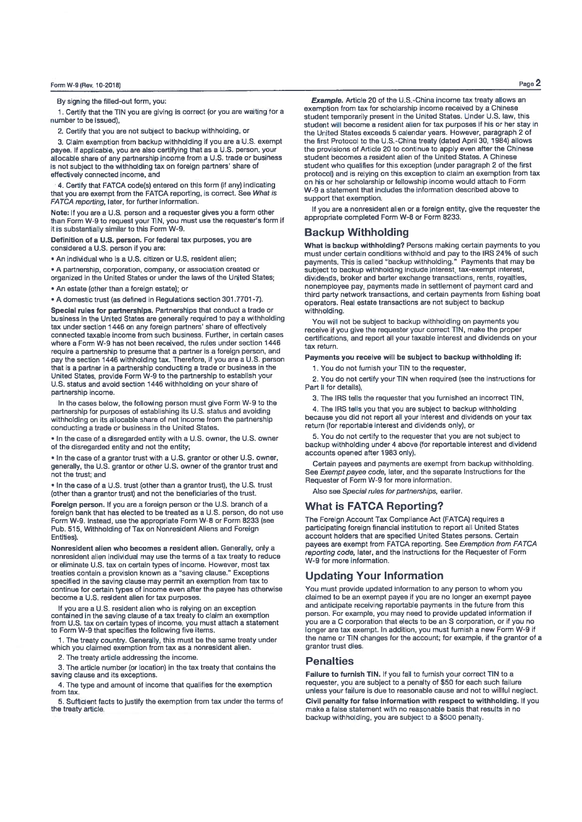By signing the filled-out form, you:

1. Certify that the TIN you are giving is correct (or you are waiting for a number to be issued).

2. Certify that you are not subject to backup withholding, or

3. Claim exemption from backup withholding if you are a U.S. exempt payee. If applicable, you are also certifying that as a U.S. person, your allocable share of any partnership income from a U.S. trade or business is not subject to the withholding tax on foreign partners' share of effectively connected income, and

4. Certify that FATCA code(s) entered on this form (if any) indicating that you are exempt from the FATCA reporting, is correct. See What is FATCA reporting. later, for further information.

Note: If you are a U.S. person and a requester gives you a form other than Form W-9 to request your TIN, you must use the requester's form if it is substantially similar to this Form W-9.

Definition of a U.S. person. For federal tax purposes, you are considered a U.S. person if you are:

. An individual who is a U.S. citizen or U.S. resident alient

• A partnership, corporation, company, or association created or organized in the United States;

. An estate (other than a foreign estate): or

• A domestic trust (as defined in Regulations section 301.7701-7).

Special rules for partnerships, Partnerships that conduct a trade or business in the United States are generally required to pay a withholding tax under section 1446 on any foreign partners' share of effectively connected taxable income from such business. Further, in certain cases where a Form W-9 has not been received, the rules under section 1446 require a partnership to presume that a partner is a foreign person, and pay the section 1446 withholding tax. Therefore, if you are a U.S. person that is a partner in a partnership conducting a trade or business in the United States, provide Form W-9 to the partnership to establish your U.S. status and avoid section 1446 withholding on your share of partnership income.

In the cases below, the following person must give Form W-9 to the partnership for purposes of establishing its U.S. status and avoiding withholding on its allocable share of net income from the partnership conducting a trade or business in the United States.

. In the case of a disregarded entity with a U.S. owner, the U.S. owner of the disregarded entity and not the entity;

. In the case of a grantor trust with a U.S. grantor or other U.S. owner, generally, the U.S. grantor or other U.S. owner of the grantor trust and not the trust; and

. In the case of a U.S. trust (other than a grantor trust), the U.S. trust (other than a grantor trust) and not the beneficiaries of the trust

Foreign person. If you are a foreign person or the U.S. branch of a foreign bank that has elected to be treated as a U.S. person, do not use Form W-9. Instead, use the appropriate Form W-8 or Form 8233 (see Pub. 515, Withholding of Tax on Nonresident Aliens and Foreign **Entities)** 

Nonresident alien who becomes a resident alien. Generally, only a nonresident alien individual may use the terms of a tax treaty to reduce or eliminate U.S. tax on certain types of income. However, most tax treaties contain a provision known as a "saving clause." Exceptions specified in the saving clause may permit an exemption from tax to continue for certain types of income even after the payee has otherwise become a U.S. resident alien for tax purposes

If you are a U.S. resident alien who is relying on an exception contained in the saving clause of a tax treaty to claim an exemption<br>from U.S. tax on certain types of income, you must attach a statement<br>to Form W-9 that specifies the following five items.

. The treaty country. Generally, this must be the same treaty under which you claimed exemption from tax as a nonresident alien.

2. The treaty article addressing the income.

3. The article number (or location) in the tax treaty that contains the saving clause and its exceptions.

4. The type and amount of income that qualifies for the exemption from tax

5. Sufficient facts to justify the exemption from tax under the terms of the treaty article.

Example. Article 20 of the U.S.-China income tax treaty allows an exemption from tax for scholarship income received by a Chinese student temporarily present in the United States. Under U.S. law. this student will become a resident alien for tax purposes if his or her stay in the United States exceeds 5 calendar years. However, paragraph 2 of the first Protocol to the U.S.-China treaty (dated April 30, 1984) allows the provisions of Article 20 to continue to apply even after the Chinese student becomes a resident alien of the United States. A Chinese student who qualifies for this exception (under paragraph 2 of the first protocol) and is relying on this exception to claim an exemption from tax on his or her scholarship or fellowship income would attach to Form W-9 a statement that includes the information described above to support that exemption.

If you are a nonresident allen or a foreign entity, give the requester the appropriate completed Form W-8 or Form 8233.

## **Backup Withholding**

What is backup withholding? Persons making certain payments to you must under certain conditions withhold and pay to the IRS 24% of such<br>payments. This is called "backup withholding." Payments that may be subject to backup withholding include interest, tax-exempt interest, dividends, broker and barter exchange transactions, rents, royalties, nonemployee pay, payments made in settlement of payment card and third party network transactions, and certain payments from fishing boat operators. Real estate transactions are not subject to backup withholding

You will not be subject to backup withholding on payments you receive if you give the requester your correct TIN. make the proper certifications, and report all your taxable interest and dividends on your tax return

Payments you receive will be subject to backup withholding if:

1. You do not furnish your TIN to the requester.

2. You do not certify your TIN when required (see the instructions for Part II for details).

3. The IRS tells the requester that you furnished an incorrect TIN,

4. The IRS tells you that you are subject to backup withholding because you did not report all your interest and dividends on your tax return (for reportable interest and dividends only), or

5. You do not certify to the requester that you are not subject to backup withholding under 4 above (for reportable interest and dividend accounts opened after 1983 only).

Certain payees and payments are exempt from backup withholding. See Exempt payee code, later, and the separate Instructions for the Requester of Form W-9 for more information.

Also see Special rules for partnerships, earlier.

## **What is FATCA Reporting?**

The Foreign Account Tax Compliance Act (FATCA) requires a participating foreign financial institution to report all United States<br>account holders that are specified United States persons. Certain payees are exempt from FATCA reporting. See Exemption from FATCA reporting code, later, and the Instructions for the Requester of Form W-9 for more information.

## **Updating Your Information**

You must provide updated information to any person to whom you claimed to be an exempt payee if you are no longer an exempt payee and anticipate receiving reportable payments in the future from this person. For example, you may need to provide updated information if you are a C corporation that elects to be an S corporation, or if you no longer are tax exempt. In addition, you must furnish a new Form W-9 if the name or TIN changes for the account; for example, if the grantor of a grantor trust dies.

### **Penalties**

Failure to furnish TIN. If you fail to furnish your correct TIN to a requester, you are subject to a penalty of \$50 for each such failure unless your failure is due to reasonable cause and not to willful neglect.

Civil penalty for false information with respect to withholding. If you make a false statement with no reasonable basis that results in no backup withholding, you are subject to a \$500 penalty.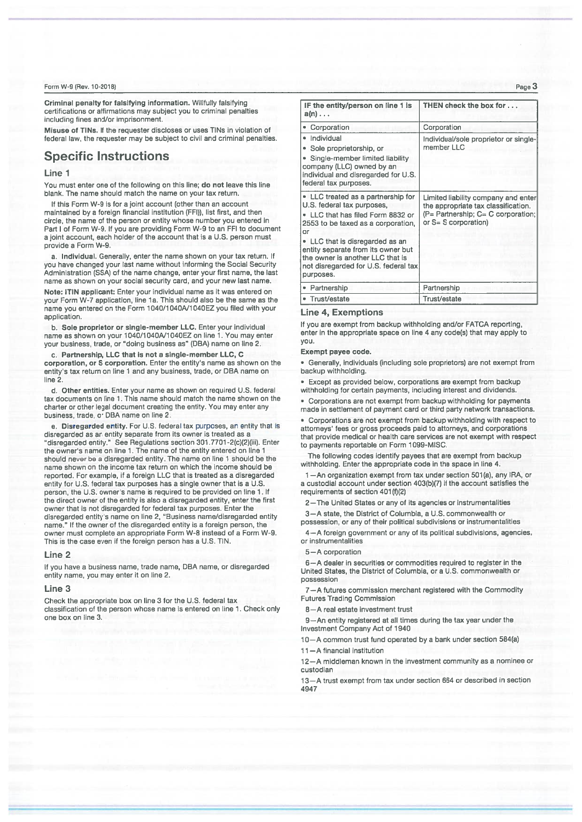#### Form W-9 (Rev. 10-2018)

Criminal penalty for falsifying information. Willfully falsifying certifications or affirmations may subject you to criminal penalties including fines and/or imprisonment.

Misuse of TINs. If the requester discloses or uses TINs in violation of federal law, the requester may be subject to civil and criminal penalties.

# **Specific Instructions**

### Line 1

You must enter one of the following on this line; do not leave this line blank. The name should match the name on your tax return.

If this Form W-9 is for a joint account (other than an account maintained by a foreign financial institution (FFI)), list first, and then circle, the name of the person or entity whose number you entered in Part I of Form W-9. If you are providing Form W-9 to an FFI to document a joint account, each holder of the account that is a U.S. person must provide a Form W-9.

a. Individual. Generally, enter the name shown on your tax return. If you have changed your last name without informing the Social Security Administration (SSA) of the name change, enter your first name, the last name as shown on your social security card, and your new last name.

Note: ITIN applicant: Enter your individual name as it was entered on your Form W-7 application, line 1a. This should also be the same as the name you entered on the Form 1040/1040A/1040EZ you filed with your application

b. Sole proprietor or single-member LLC. Enter your individual name as shown on your 1040/1040A/1040EZ on line 1. You may enter your business, trade, or "doing business as" (DBA) name on line 2.

c. Partnership, LLC that is not a single-member LLC, C corporation, or S corporation. Enter the entity's name as shown on the entity's tax return on line 1 and any business, trade, or DBA name on line 2

d. Other entities. Enter your name as shown on required U.S. federal tax documents on line 1. This name should match the name shown on the charter or other legal document creating the entity. You may enter any business, trade, or DBA name on line 2.

e. Disregarded entity. For U.S. federal tax purposes, an entity that is disregarded as an entity separate from its owner is treated as a<br>"disregarded entity." See Regulations section 301.7701-2(c)(2)(iii). Enter the owner's name on line 1. The name of the entity entered on line 1 should never be a disregarded entity. The name on line 1 should be the name shown on the income tax return on which the income should be reported. For example, if a foreign LLC that is treated as a disregarded entity for U.S. federal tax purposes has a single owner that is a U.S. person, the U.S. owner's name is required to be provided on line 1. If the direct owner of the entity is also a disregarded entity, enter the first owner that is not disregarded for federal tax purposes. Enter the disregarded entity's name on line 2, "Business name/disregarded entity name." If the owner of the disregarded entity is a foreign person, the owner must complete an appropriate Form W-8 instead of a Form W-9. This is the case even if the foreign person has a U.S. TIN.

#### Line 2

If you have a business name, trade name, DBA name, or disregarded entity name, you may enter it on line 2.

#### Line 3

Check the appropriate box on line 3 for the U.S. federal tax classification of the person whose name is entered on line 1. Check only one hox on line 3.

| IF the entity/person on line 1 is<br>$a(n) \ldots$                                                                                                                                                                                                                                                                  | THEN check the box for                                                                                                                   |  |  |  |
|---------------------------------------------------------------------------------------------------------------------------------------------------------------------------------------------------------------------------------------------------------------------------------------------------------------------|------------------------------------------------------------------------------------------------------------------------------------------|--|--|--|
| • Corporation                                                                                                                                                                                                                                                                                                       | Corporation                                                                                                                              |  |  |  |
| • Individual<br>• Sole proprietorship, or<br>• Single-member limited liability<br>company (LLC) owned by an<br>individual and disregarded for U.S.<br>federal tax purposes.                                                                                                                                         | Individual/sole proprietor or single-<br>member LLC                                                                                      |  |  |  |
| • LLC treated as a partnership for<br>U.S. federal tax purposes,<br>• LLC that has filed Form 8832 or<br>2553 to be taxed as a corporation,<br>or<br>• LLC that is disregarded as an<br>entity separate from its owner but<br>the owner is another LLC that is<br>not disregarded for U.S. federal tax<br>purposes. | Limited liability company and enter<br>the appropriate tax classification.<br>(P= Partnership; C= C corporation;<br>or S= S corporation) |  |  |  |
| • Partnership                                                                                                                                                                                                                                                                                                       | Partnership                                                                                                                              |  |  |  |
| • Trust/estate                                                                                                                                                                                                                                                                                                      | Trust/estate                                                                                                                             |  |  |  |

### **Line 4, Exemptions**

If you are exempt from backup withholding and/or FATCA reporting, enter in the appropriate space on line 4 any code(s) that may apply to you.

#### Exempt payee code.

· Generally, individuals (including sole proprietors) are not exempt from backup withholding.

· Except as provided below, corporations are exempt from backup withholding for certain payments, including interest and dividends.

• Corporations are not exempt from backup withholding for payments made in settlement of payment card or third party network transactions.

• Corporations are not exempt from backup withholding with respect to attorneys' fees or gross proceeds paid to attorneys, and corporations that provide medical or health care services are not exempt with respect to payments reportable on Form 1099-MISC.

The following codes identify payees that are exempt from backup withholding. Enter the appropriate code in the space in line 4.

1-An organization exempt from tax under section 501(a), any IRA, or a custodial account under section 403(b)(7) if the account satisfies the requirements of section 401(f)(2)

2-The United States or any of its agencies or instrumentalities

3-A state, the District of Columbia, a U.S. commonwealth or possession, or any of their political subdivisions or instrumentalities

4-A foreign government or any of its political subdivisions, agencies, or instrumentalities

#### 5-A corporation

6-A dealer in securities or commodities required to register in the United States, the District of Columbia, or a U.S. commonwealth or possession

7-A futures commission merchant registered with the Commodity **Futures Trading Commission** 

8-A real estate investment trust

9-An entity registered at all times during the tax year under the Investment Company Act of 1940

10-A common trust fund operated by a bank under section 584(a)

11-A financial institution

12-A middleman known in the investment community as a nominee or custodian

13-A trust exempt from tax under section 664 or described in section 4947

Page 3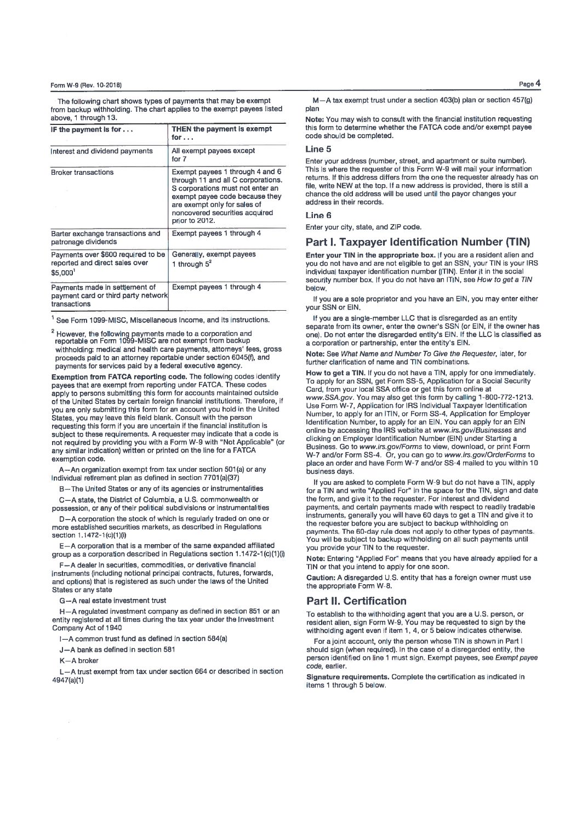### Form W-9 (Rev. 10-2018)

The following chart shows types of payments that may be exempt from backup withholding. The chart applies to the exempt payees listed ahove 1 through 13.

| IF the payment is for $\dots$                                                         | THEN the payment is exempt<br>for                                                                                                                                                                                               |  |  |  |  |
|---------------------------------------------------------------------------------------|---------------------------------------------------------------------------------------------------------------------------------------------------------------------------------------------------------------------------------|--|--|--|--|
| Interest and dividend payments                                                        | All exempt payees except<br>for 7                                                                                                                                                                                               |  |  |  |  |
| <b>Broker transactions</b>                                                            | Exempt payees 1 through 4 and 6<br>through 11 and all C corporations.<br>S corporations must not enter an<br>exempt payee code because they<br>are exempt only for sales of<br>noncovered securities acquired<br>prior to 2012. |  |  |  |  |
| Barter exchange transactions and<br>patronage dividends                               | Exempt payees 1 through 4                                                                                                                                                                                                       |  |  |  |  |
| Payments over \$600 required to be<br>reported and direct sales over<br>\$5,000       | Generally, exempt payees<br>1 through $5^2$                                                                                                                                                                                     |  |  |  |  |
| Payments made in settlement of<br>payment card or third party network<br>transactions | Exempt payees 1 through 4                                                                                                                                                                                                       |  |  |  |  |

<sup>1</sup> See Form 1099-MISC, Miscellaneous Income, and its instructions.

<sup>2</sup> However, the following payments made to a corporation and<br>reportable on Form 1099-MISC are not exempt from backup withholding: medical and health care payments, attorneys' fees, gross proceeds paid to an attorney reportable under section 6045(f), and payments for services paid by a federal executive agency.

Exemption from FATCA reporting code. The following codes identify payees that are exempt from reporting under FATCA. These codes apply to persons submitting this form for accounts maintained outside of the United States by certain foreign financial institutions. Therefore, if you are only submitting this form for an account you hold in the United States, you may leave this field blank. Consult with the person requesting this form if you are uncertain if the financial institution is subject to these requirements. A requester may indicate that a code is not required by providing you with a Form W-9 with "Not Applicable" (or any similar indication) written or printed on the line for a FATCA exemption code.

A-An organization exempt from tax under section 501(a) or any individual retirement plan as defined in section 7701(a)(37)

B-The United States or any of its agencies or instrumentalities

C-A state, the District of Columbia, a U.S. commonwealth or possession, or any of their political subdivisions or instrumentalities

D-A corporation the stock of which is regularly traded on one or more established securities markets, as described in Regulations section 1.1472-1(c)(1)(i)

E-A corporation that is a member of the same expanded affiliated group as a corporation described in Regulations section 1.1472-1(c)(1)(i)

F-A dealer in securities, commodities, or derivative financial instruments (including notional principal contracts, futures, forwards, and options) that is registered as such under the laws of the United States or any state

G-A real estate investment trust

H-A regulated investment company as defined in section 851 or an entity registered at all times during the tax year under the Investment Company Act of 1940

I-A common trust fund as defined in section 584(a)

J-A bank as defined in section 581

 $K - A$  broke

L-A trust exempt from tax under section 664 or described in section 4947(a)(1)

M-A tax exempt trust under a section 403(b) plan or section 457(g) nlan

Note: You may wish to consult with the financial institution requesting this form to determine whether the FATCA code and/or exempt payee code should be completed.

### $line 5$

Enter your address (number, street, and apartment or suite number). This is where the requester of this Form W-9 will mail your information returns. If this address differs from the one the requester already has on file, write NEW at the top. If a new address is provided, there is still a chance the old address will be used until the payor changes your address in their records

#### Line 6

Enter your city, state, and ZIP code.

## Part I. Taxpayer Identification Number (TIN)

Enter your TIN in the appropriate box. If you are a resident alien and vou do not have and are not eligible to get an SSN, your TIN is your IRS individual taxpayer identification number (ITIN). Enter it in the social security number box. If you do not have an ITIN, see How to get a TIN helow

If you are a sole proprietor and you have an EIN, you may enter either your SSN or EIN

If you are a single-member LLC that is disregarded as an entity separate from its owner, enter the owner's SSN (or EIN, if the owner has one). Do not enter the disregarded entity's EIN. If the LLC is classified as a corporation or partnership, enter the entity's EIN.

Note: See What Name and Number To Give the Requester, later, for further clarification of name and TIN combinations.

How to get a TIN. If you do not have a TIN, apply for one immediately. To apply for an SSN, get Form SS-5, Application for a Social Security Card, from your local SSA office or get this form online at www.SSA.gov. You may also get this form by calling 1-800-772-1213. Use Form W-7, Application for IRS Individual Taxpayer Identification Number, to apply for an ITIN, or Form SS-4, Application for Employer Identification Number, to apply for an EIN. You can apply for an EIN online by accessing the IRS website at www.irs.gov/Businesses and clicking on Employer Identification Number (EIN) under Starting a Business. Go to www.irs.gov/Forms to view, download, or print Form W-7 and/or Form SS-4. Or, you can go to www.irs.gov/OrderForms to place an order and have Form W-7 and/or SS-4 mailed to you within 10 business days.

If you are asked to complete Form W-9 but do not have a TIN, apply for a TIN and write "Applied For" in the space for the TIN, sign and date the form, and give it to the requester. For interest and dividend payments, and certain payments made with respect to readily tradable instruments, generally you will have 60 days to get a TIN and give it to the requester before you are subject to backup withholding on payments. The 60-day rule does not apply to other types of payments. You will be subject to backup withholding on all such payments until you provide your TIN to the requester.

Note: Entering "Applied For" means that you have already applied for a TIN or that you intend to apply for one soon.

Caution: A disregarded U.S. entity that has a foreign owner must use the appropriate Form W-8.

## **Part II. Certification**

To establish to the withholding agent that you are a U.S. person, or resident alien, sign Form W-9. You may be requested to sign by the withholding agent even if item 1, 4, or 5 below indicates otherwise.

For a joint account, only the person whose TIN is shown in Part I should sign (when regulred). In the case of a disregarded entity, the person identified on line 1 must sign. Exempt payees, see Exempt payee code, earlier.

Signature requirements. Complete the certification as indicated in items 1 through 5 below.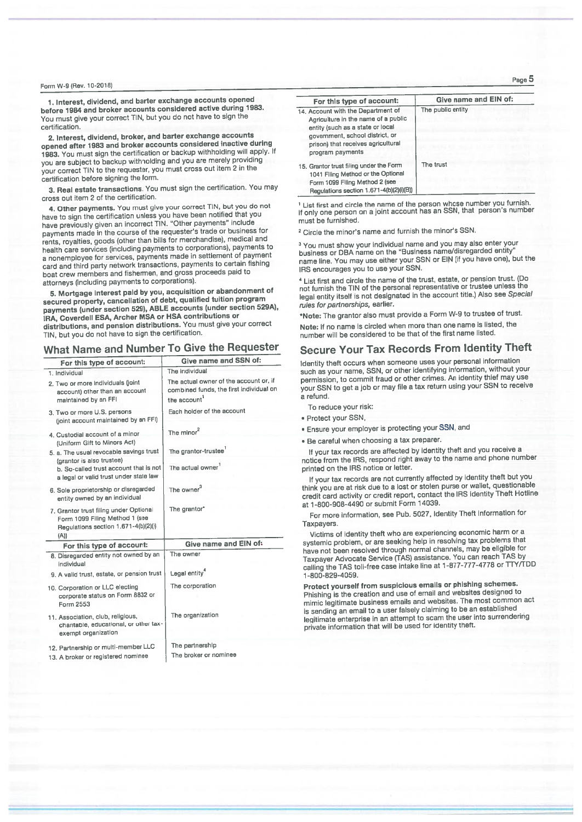### Form W-9 (Rev. 10-2018)

1. Interest, dividend, and barter exchange accounts opened before 1984 and broker accounts considered active during 1983. You must give your correct TIN, but you do not have to sign the certification.

2. Interest, dividend, broker, and barter exchange accounts opened after 1983 and broker accounts considered inactive during 1983. You must sign the certification or backup withholding will apply. If you are subject to backup withholding and you are merely providing your correct TIN to the requester, you must cross out item 2 in the certification before signing the form.

3. Real estate transactions. You must sign the certification. You may cross out item 2 of the certification.

4. Other payments. You must give your correct TIN, but you do not have to sign the certification unless you have been notified that you<br>have previously given an incorrect TIN. "Other payments" include payments made in the course of the requester's trade or business for rents, royalties, goods (other than bills for merchandise), medical and health care services (including payments to corporations), payments to a nonemployee for services, payments made in settlement of payment card and third party network transactions, payments to certain fishing boat crew members and fishermen, and gross proceeds paid to attorneys (including payments to corporations).

5. Mortgage interest paid by you, acquisition or abandonment of secured property, cancellation of debt, qualified tuition program payments (under section 529), ABLE accounts (under section 529A), IRA, Coverdell ESA, Archer MSA or HSA contributions or distributions, and pension distributions. You must give your correct TIN, but you do not have to sign the certification

# What Name and Number To Give the Requester

| For this type of account:                                                                                               | Give name and SSN of:                                                                            |
|-------------------------------------------------------------------------------------------------------------------------|--------------------------------------------------------------------------------------------------|
| 1. Individual                                                                                                           | The individual                                                                                   |
| 2. Two or more individuals (joint<br>account) other than an account<br>maintained by an FFI                             | The actual owner of the account or, if<br>combined funds, the first individual on<br>the account |
| 3. Two or more U.S. persons<br>(joint account maintained by an FFI)                                                     | Each holder of the account                                                                       |
| 4. Custodial account of a minor<br>(Uniform Gift to Minors Act)                                                         | The minor <sup>2</sup>                                                                           |
| 5. a. The usual revocable savings trust                                                                                 | The grantor-trustee <sup>1</sup>                                                                 |
| (grantor is also trustee)<br>b. So-called trust account that is not<br>a legal or valid trust under state law           | The actual owner                                                                                 |
| 6. Sole proprietorship or disregarded<br>entity owned by an individual                                                  | The owner <sup>3</sup>                                                                           |
| 7. Grantor trust filing under Optional<br>Form 1099 Filing Method 1 (see<br>Regulations section 1.671-4(b)(2)(l)<br>(A) | The grantor*                                                                                     |
| For this type of account:                                                                                               | Give name and EIN of:                                                                            |
| 8. Disregarded entity not owned by an<br>individual                                                                     | The owner                                                                                        |
| 9. A valid trust, estate, or pension trust                                                                              | Legal entity <sup>4</sup>                                                                        |
| 10. Corporation or LLC electing<br>corporate status on Form 8832 or<br>Form 2553                                        | The corporation                                                                                  |
| 11. Association, club, religious,<br>charitable, educational, or other tax-<br>exempt organization                      | The organization                                                                                 |
| 12. Partnership or multi-member LLC<br>13. A broker or registered nominee                                               | The partnership<br>The broker or nominee                                                         |

Give name and EIN of: For this type of account: The public entity 14. Account with the Department of Agriculture in the name of a public entity (such as a state or local government, school district, or prison) that receives agricultural program payments The trust 15. Grantor trust filing under the Form 1041 Filing Method or the Optional Form 1099 Filing Method 2 (see Regulations section 1.671-4(b)(2)(i)(B))

<sup>1</sup> List first and circle the name of the person whose number you furnish.<br>If only one person on a joint account has an SSN, that person's number must be furnished.

<sup>2</sup> Circle the minor's name and furnish the minor's SSN.

<sup>3</sup> You must show your individual name and you may also enter your<br>business or DBA name on the "Business name/disregarded entity" name line. You may use either your SSN or EIN (if you have one), but the IRS encourages you to use your SSN.

<sup>4</sup> List first and circle the name of the trust, estate, or pension trust. (Do not furnish the TIN of the personal representative or trustee unless the legal entity itself is not designated in the account title.) Also see Special rules for partnerships, earlier.

\*Note: The grantor also must provide a Form W-9 to trustee of trust.

Note: If no name is circled when more than one name is listed, the number will be considered to be that of the first name listed.

# **Secure Your Tax Records From Identity Theft**

Identity theft occurs when someone uses your personal information such as your name, SSN, or other identifying information, without your permission, to commit fraud or other crimes. An identity thief may use your SSN to get a job or may file a tax return using your SSN to receive a refund.

To reduce your risk:

- · Protect your SSN,
- . Ensure your employer is protecting your SSN, and
- . Be careful when choosing a tax preparer.

If your tax records are affected by identity theft and you receive a notice from the IRS, respond right away to the name and phone number printed on the IRS notice or letter.

If your tax records are not currently affected by identity theft but you think you are at risk due to a lost or stolen purse or wallet, questionable credit card activity or credit report, contact the IRS identity Theft Hotline at 1-800-908-4490 or submit Form 14039.

For more information, see Pub. 5027, Identity Theft Information for Taxpayers.

Victims of identity theft who are experiencing economic harm or a systemic problem, or are seeking help in resolving tax problems that have not been resolved through normal channels, may be eligible for Taxpayer Advocate Service (TAS) assistance. You can reach TAS by calling the TAS toll-free case intake line at 1-877-777-4778 or TTY/TDD 1-800-829-4059

Protect yourself from suspicious emails or phishing schemes. Phishing is the creation and use of email and websites designed to mimic legitimate business emails and websites. The most common act is sending an email to a user falsely claiming to be an established legitimate enterprise in an attempt to scam the user into surrendering private information that will be used for identity theft.

Page 5